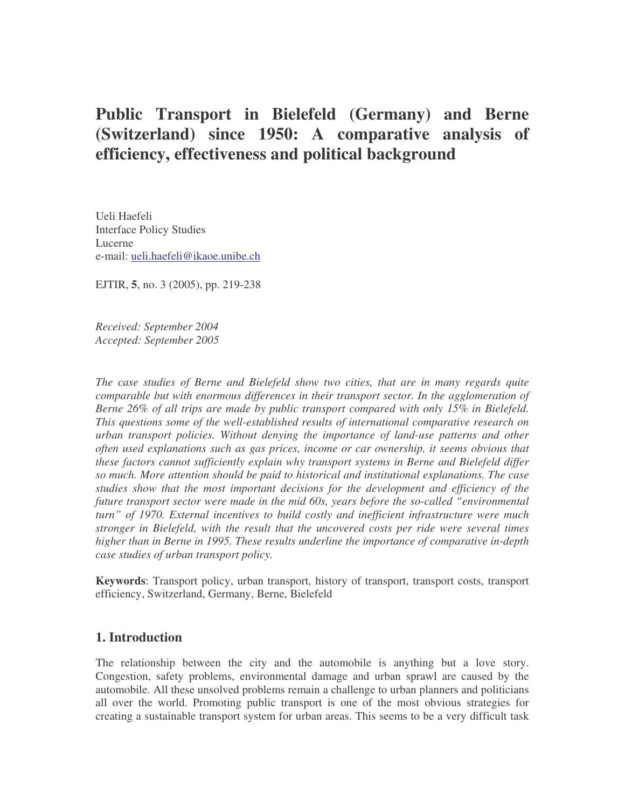# **Public Transport in Bielefeld (Germany) and Berne (Switzerland) since 1950: A comparative analysis of efficiency, effectiveness and political background**

Ueli Haefeli Interface Policy Studies Lucerne e-mail: ueli.haefeli@ikaoe.unibe.ch

EJTIR, **5**, no. 3 (2005), pp. 219-238

*Received: September 2004 Accepted: September 2005*

*The case studies of Berne and Bielefeld show two cities, that are in many regards quite comparable but with enormous differences in their transport sector. In the agglomeration of Berne 26% of all trips are made by public transport compared with only 15% in Bielefeld. This questions some of the well-established results of international comparative research on urban transport policies. Without denying the importance of land-use patterns and other often used explanations such as gas prices, income or car ownership, it seems obvious that these factors cannot sufficiently explain why transport systems in Berne and Bielefeld differ so much. More attention should be paid to historical and institutional explanations. The case studies show that the most important decisions for the development and efficiency of the future transport sector were made in the mid 60s, years before the so-called "environmental turn" of 1970. External incentives to build costly and inefficient infrastructure were much stronger in Bielefeld, with the result that the uncovered costs per ride were several times higher than in Berne in 1995. These results underline the importance of comparative in-depth case studies of urban transport policy.*

**Keywords**: Transport policy, urban transport, history of transport, transport costs, transport efficiency, Switzerland, Germany, Berne, Bielefeld

### **1. Introduction**

The relationship between the city and the automobile is anything but a love story. Congestion, safety problems, environmental damage and urban sprawl are caused by the automobile. All these unsolved problems remain a challenge to urban planners and politicians all over the world. Promoting public transport is one of the most obvious strategies for creating a sustainable transport system for urban areas. This seems to be a very difficult task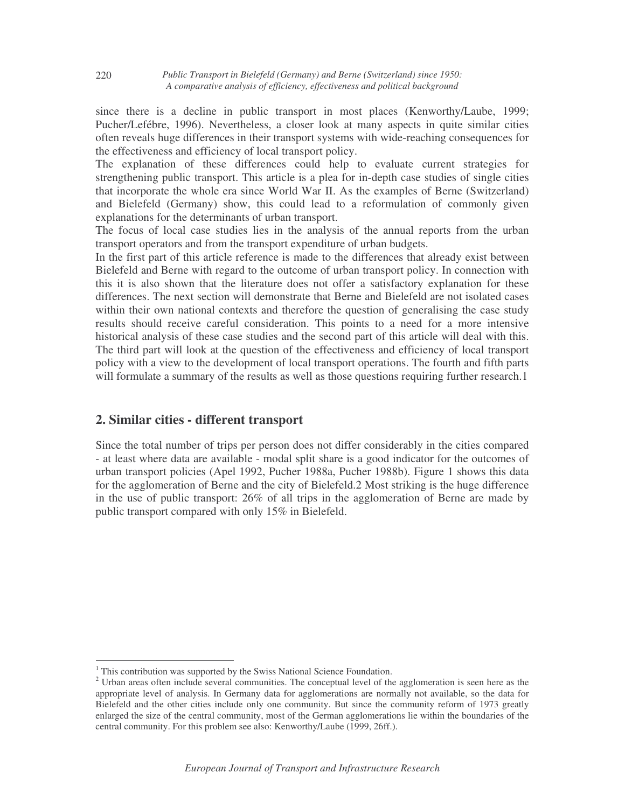since there is a decline in public transport in most places (Kenworthy/Laube, 1999; Pucher/Lefébre, 1996). Nevertheless, a closer look at many aspects in quite similar cities often reveals huge differences in their transport systems with wide-reaching consequences for the effectiveness and efficiency of local transport policy.

The explanation of these differences could help to evaluate current strategies for strengthening public transport. This article is a plea for in-depth case studies of single cities that incorporate the whole era since World War II. As the examples of Berne (Switzerland) and Bielefeld (Germany) show, this could lead to a reformulation of commonly given explanations for the determinants of urban transport.

The focus of local case studies lies in the analysis of the annual reports from the urban transport operators and from the transport expenditure of urban budgets.

In the first part of this article reference is made to the differences that already exist between Bielefeld and Berne with regard to the outcome of urban transport policy. In connection with this it is also shown that the literature does not offer a satisfactory explanation for these differences. The next section will demonstrate that Berne and Bielefeld are not isolated cases within their own national contexts and therefore the question of generalising the case study results should receive careful consideration. This points to a need for a more intensive historical analysis of these case studies and the second part of this article will deal with this. The third part will look at the question of the effectiveness and efficiency of local transport policy with a view to the development of local transport operations. The fourth and fifth parts will formulate a summary of the results as well as those questions requiring further research.1

### **2. Similar cities - different transport**

Since the total number of trips per person does not differ considerably in the cities compared - at least where data are available - modal split share is a good indicator for the outcomes of urban transport policies (Apel 1992, Pucher 1988a, Pucher 1988b). Figure 1 shows this data for the agglomeration of Berne and the city of Bielefeld.2 Most striking is the huge difference in the use of public transport: 26% of all trips in the agglomeration of Berne are made by public transport compared with only 15% in Bielefeld.

<sup>&</sup>lt;sup>1</sup> This contribution was supported by the Swiss National Science Foundation. <sup>2</sup> Urban areas often include several communities. The conceptual level of the agglomeration is seen here as the appropriate level of analysis. In Germany data for agglomerations are normally not available, so the data for Bielefeld and the other cities include only one community. But since the community reform of 1973 greatly enlarged the size of the central community, most of the German agglomerations lie within the boundaries of the central community. For this problem see also: Kenworthy/Laube (1999, 26ff.).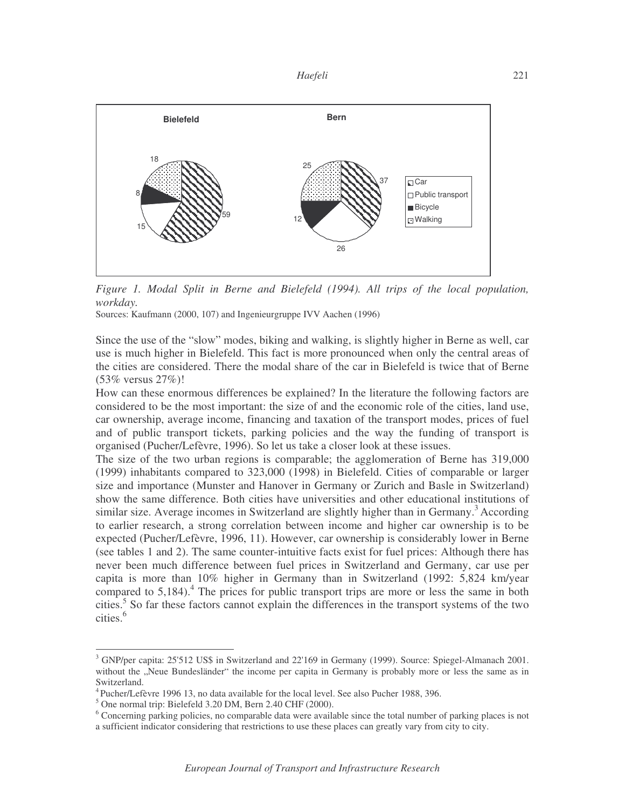

*Figure 1. Modal Split in Berne and Bielefeld (1994). All trips of the local population, workday.*

Sources: Kaufmann (2000, 107) and Ingenieurgruppe IVV Aachen (1996)

Since the use of the "slow" modes, biking and walking, is slightly higher in Berne as well, car use is much higher in Bielefeld. This fact is more pronounced when only the central areas of the cities are considered. There the modal share of the car in Bielefeld is twice that of Berne (53% versus 27%)!

How can these enormous differences be explained? In the literature the following factors are considered to be the most important: the size of and the economic role of the cities, land use, car ownership, average income, financing and taxation of the transport modes, prices of fuel and of public transport tickets, parking policies and the way the funding of transport is organised (Pucher/Lefèvre, 1996). So let us take a closer look at these issues.

The size of the two urban regions is comparable; the agglomeration of Berne has 319,000 (1999) inhabitants compared to 323,000 (1998) in Bielefeld. Cities of comparable or larger size and importance (Munster and Hanover in Germany or Zurich and Basle in Switzerland) show the same difference. Both cities have universities and other educational institutions of similar size. Average incomes in Switzerland are slightly higher than in Germany.<sup>3</sup> According to earlier research, a strong correlation between income and higher car ownership is to be expected (Pucher/Lefèvre, 1996, 11). However, car ownership is considerably lower in Berne (see tables 1 and 2). The same counter-intuitive facts exist for fuel prices: Although there has never been much difference between fuel prices in Switzerland and Germany, car use per capita is more than 10% higher in Germany than in Switzerland (1992: 5,824 km/year compared to 5,184). <sup>4</sup> The prices for public transport trips are more or less the same in both cities. <sup>5</sup> So far these factors cannot explain the differences in the transport systems of the two cities. 6

<sup>&</sup>lt;sup>3</sup> GNP/per capita: 25'512 US\$ in Switzerland and 22'169 in Germany (1999). Source: Spiegel-Almanach 2001. without the "Neue Bundesländer" the income per capita in Germany is probably more or less the same as in Switzerland.<br><sup>4</sup> Pucher/Lefèvre 1996 13, no data available for the local level. See also Pucher 1988, 396.<br><sup>5</sup> One normal trip: Bielefeld 3.20 DM, Bern 2.40 CHF (2000).<br><sup>6</sup> Concerning parking policies, no comparable data w

a sufficient indicator considering that restrictions to use these places can greatly vary from city to city.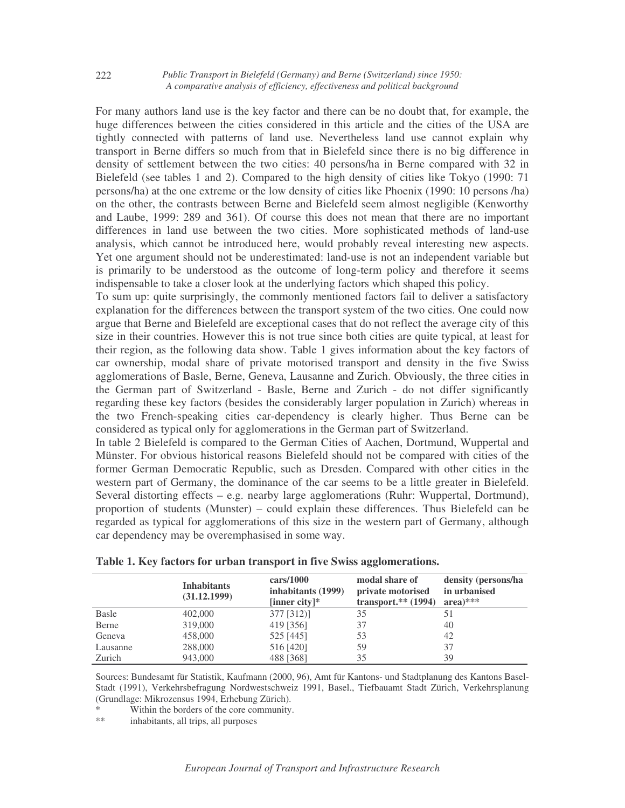For many authors land use is the key factor and there can be no doubt that, for example, the huge differences between the cities considered in this article and the cities of the USA are tightly connected with patterns of land use. Nevertheless land use cannot explain why transport in Berne differs so much from that in Bielefeld since there is no big difference in density of settlement between the two cities: 40 persons/ha in Berne compared with 32 in Bielefeld (see tables 1 and 2). Compared to the high density of cities like Tokyo (1990: 71 persons/ha) at the one extreme or the low density of cities like Phoenix (1990: 10 persons /ha) on the other, the contrasts between Berne and Bielefeld seem almost negligible (Kenworthy and Laube, 1999: 289 and 361). Of course this does not mean that there are no important differences in land use between the two cities. More sophisticated methods of land-use analysis, which cannot be introduced here, would probably reveal interesting new aspects. Yet one argument should not be underestimated: land-use is not an independent variable but is primarily to be understood as the outcome of long-term policy and therefore it seems indispensable to take a closer look at the underlying factors which shaped this policy.

To sum up: quite surprisingly, the commonly mentioned factors fail to deliver a satisfactory explanation for the differences between the transport system of the two cities. One could now argue that Berne and Bielefeld are exceptional cases that do not reflect the average city of this size in their countries. However this is not true since both cities are quite typical, at least for their region, as the following data show. Table 1 gives information about the key factors of car ownership, modal share of private motorised transport and density in the five Swiss agglomerations of Basle, Berne, Geneva, Lausanne and Zurich. Obviously, the three cities in the German part of Switzerland - Basle, Berne and Zurich - do not differ significantly regarding these key factors (besides the considerably larger population in Zurich) whereas in the two French-speaking cities car-dependency is clearly higher. Thus Berne can be considered as typical only for agglomerations in the German part of Switzerland.

In table 2 Bielefeld is compared to the German Cities of Aachen, Dortmund, Wuppertal and Münster. For obvious historical reasons Bielefeld should not be compared with cities of the former German Democratic Republic, such as Dresden. Compared with other cities in the western part of Germany, the dominance of the car seems to be a little greater in Bielefeld. Several distorting effects – e.g. nearby large agglomerations (Ruhr: Wuppertal, Dortmund), proportion of students (Munster) – could explain these differences. Thus Bielefeld can be regarded as typical for agglomerations of this size in the western part of Germany, although car dependency may be overemphasised in some way.

|              | <b>Inhabitants</b><br>(31.12.1999) | $\frac{\text{cars}}{1000}$<br>inhabitants (1999)<br>[inner city]* | modal share of<br>private motorised<br>transport. $**$ (1994) | density (persons/ha<br>in urbanised<br>$area)$ *** |
|--------------|------------------------------------|-------------------------------------------------------------------|---------------------------------------------------------------|----------------------------------------------------|
| <b>Basle</b> | 402,000                            | $377$ [312)]                                                      | 35                                                            |                                                    |
| Berne        | 319,000                            | 419 [356]                                                         | 37                                                            | 40                                                 |
| Geneva       | 458,000                            | 525 [445]                                                         | 53                                                            | 42                                                 |
| Lausanne     | 288,000                            | 516 [420]                                                         | 59                                                            | 37                                                 |
| Zurich       | 943,000                            | 488 [368]                                                         | 35                                                            | 39                                                 |

| Table 1. Key factors for urban transport in five Swiss agglomerations. |
|------------------------------------------------------------------------|
|------------------------------------------------------------------------|

Sources: Bundesamt für Statistik, Kaufmann (2000, 96), Amt für Kantons- und Stadtplanung des Kantons Basel-Stadt (1991), Verkehrsbefragung Nordwestschweiz 1991, Basel., Tiefbauamt Stadt Zürich, Verkehrsplanung (Grundlage: Mikrozensus 1994, Erhebung Zürich).

\* Within the borders of the core community.<br>\*\* inhabitants all trips all purposes

inhabitants, all trips, all purposes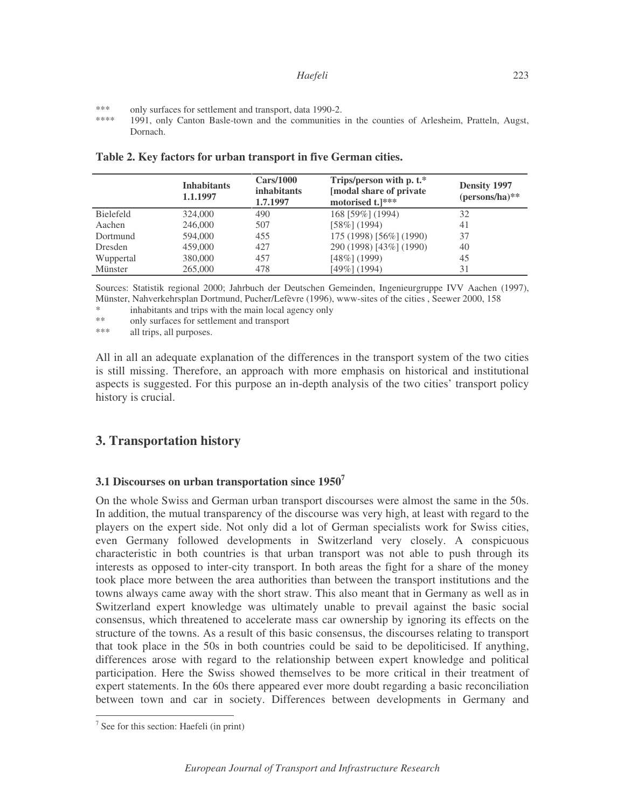- \*\*\* only surfaces for settlement and transport, data 1990-2.<br>\*\*\*\* 1991 only Canton Basle-town and the communities
- 1991, only Canton Basle-town and the communities in the counties of Arlesheim, Pratteln, Augst, Dornach.

|                  | <b>Inhabitants</b><br>1.1.1997 | Cars/1000<br><i>inhabitants</i><br>1.7.1997 | Trips/person with p. t.*<br>[modal share of private]<br>motorised t.]*** | <b>Density 1997</b><br>$(persons/ha)$ ** |
|------------------|--------------------------------|---------------------------------------------|--------------------------------------------------------------------------|------------------------------------------|
| <b>Bielefeld</b> | 324,000                        | 490                                         | 168 [59%] (1994)                                                         | 32                                       |
| Aachen           | 246,000                        | 507                                         | $[58\%] (1994)$                                                          | 41                                       |
| Dortmund         | 594,000                        | 455                                         | 175 (1998) [56%] (1990)                                                  | 37                                       |
| Dresden          | 459,000                        | 427                                         | 290 (1998) [43%] (1990)                                                  | 40                                       |
| Wuppertal        | 380,000                        | 457                                         | $[48\%] (1999)$                                                          | 45                                       |
| Münster          | 265,000                        | 478                                         | $[49\%]$ (1994)                                                          | 31                                       |

**Table 2. Key factors for urban transport in five German cities.**

Sources: Statistik regional 2000; Jahrbuch der Deutschen Gemeinden, Ingenieurgruppe IVV Aachen (1997), Münster, Nahverkehrsplan Dortmund, Pucher/Lefèvre (1996), www-sites of the cities , Seewer 2000, 158

\* inhabitants and trips with the main local agency only<br>\*\* only surfaces for settlement and transport

\*\* only surfaces for settlement and transport<br>\*\*\* all trips all purposes

all trips, all purposes.

All in all an adequate explanation of the differences in the transport system of the two cities is still missing. Therefore, an approach with more emphasis on historical and institutional aspects is suggested. For this purpose an in-depth analysis of the two cities' transport policy history is crucial.

### **3. Transportation history**

#### **3.1 Discourses on urban transportation since 1950<sup>7</sup>**

On the whole Swiss and German urban transport discourses were almost the same in the 50s. In addition, the mutual transparency of the discourse was very high, at least with regard to the players on the expert side. Not only did a lot of German specialists work for Swiss cities, even Germany followed developments in Switzerland very closely. A conspicuous characteristic in both countries is that urban transport was not able to push through its interests as opposed to inter-city transport. In both areas the fight for a share of the money took place more between the area authorities than between the transport institutions and the towns always came away with the short straw. This also meant that in Germany as well as in Switzerland expert knowledge was ultimately unable to prevail against the basic social consensus, which threatened to accelerate mass car ownership by ignoring its effects on the structure of the towns. As a result of this basic consensus, the discourses relating to transport that took place in the 50s in both countries could be said to be depoliticised. If anything, differences arose with regard to the relationship between expert knowledge and political participation. Here the Swiss showed themselves to be more critical in their treatment of expert statements. In the 60s there appeared ever more doubt regarding a basic reconciliation between town and car in society. Differences between developments in Germany and

 $<sup>7</sup>$  See for this section: Haefeli (in print)</sup>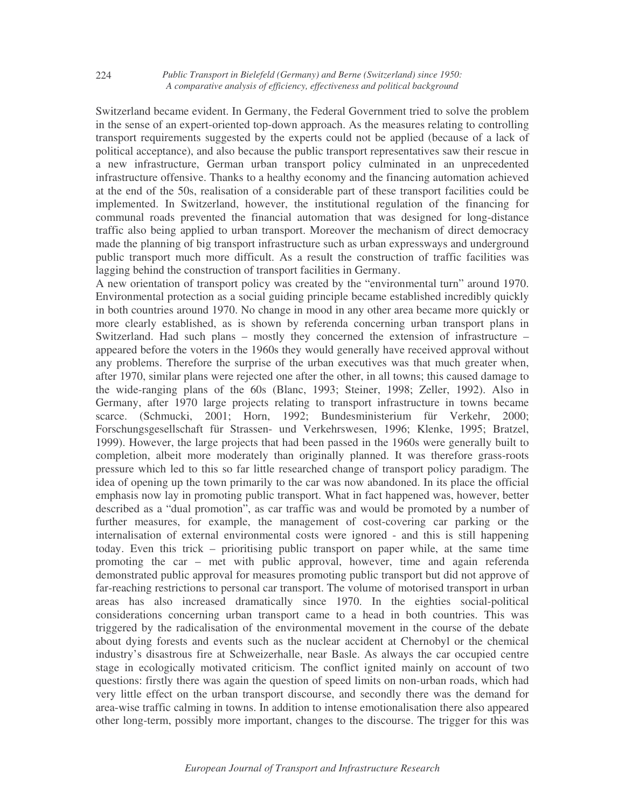Switzerland became evident. In Germany, the Federal Government tried to solve the problem in the sense of an expert-oriented top-down approach. As the measures relating to controlling transport requirements suggested by the experts could not be applied (because of a lack of political acceptance), and also because the public transport representatives saw their rescue in a new infrastructure, German urban transport policy culminated in an unprecedented infrastructure offensive. Thanks to a healthy economy and the financing automation achieved at the end of the 50s, realisation of a considerable part of these transport facilities could be implemented. In Switzerland, however, the institutional regulation of the financing for communal roads prevented the financial automation that was designed for long-distance traffic also being applied to urban transport. Moreover the mechanism of direct democracy made the planning of big transport infrastructure such as urban expressways and underground public transport much more difficult. As a result the construction of traffic facilities was lagging behind the construction of transport facilities in Germany.

A new orientation of transport policy was created by the "environmental turn" around 1970. Environmental protection as a social guiding principle became established incredibly quickly in both countries around 1970. No change in mood in any other area became more quickly or more clearly established, as is shown by referenda concerning urban transport plans in Switzerland. Had such plans – mostly they concerned the extension of infrastructure – appeared before the voters in the 1960s they would generally have received approval without any problems. Therefore the surprise of the urban executives was that much greater when, after 1970, similar plans were rejected one after the other, in all towns; this caused damage to the wide-ranging plans of the 60s (Blanc, 1993; Steiner, 1998; Zeller, 1992). Also in Germany, after 1970 large projects relating to transport infrastructure in towns became scarce. (Schmucki, 2001; Horn, 1992; Bundesministerium für Verkehr, 2000; Forschungsgesellschaft für Strassen- und Verkehrswesen, 1996; Klenke, 1995; Bratzel, 1999). However, the large projects that had been passed in the 1960s were generally built to completion, albeit more moderately than originally planned. It was therefore grass-roots pressure which led to this so far little researched change of transport policy paradigm. The idea of opening up the town primarily to the car was now abandoned. In its place the official emphasis now lay in promoting public transport. What in fact happened was, however, better described as a "dual promotion", as car traffic was and would be promoted by a number of further measures, for example, the management of cost-covering car parking or the internalisation of external environmental costs were ignored - and this is still happening today. Even this trick – prioritising public transport on paper while, at the same time promoting the car – met with public approval, however, time and again referenda demonstrated public approval for measures promoting public transport but did not approve of far-reaching restrictions to personal car transport. The volume of motorised transport in urban areas has also increased dramatically since 1970. In the eighties social-political considerations concerning urban transport came to a head in both countries. This was triggered by the radicalisation of the environmental movement in the course of the debate about dying forests and events such as the nuclear accident at Chernobyl or the chemical industry's disastrous fire at Schweizerhalle, near Basle. As always the car occupied centre stage in ecologically motivated criticism. The conflict ignited mainly on account of two questions: firstly there was again the question of speed limits on non-urban roads, which had very little effect on the urban transport discourse, and secondly there was the demand for area-wise traffic calming in towns. In addition to intense emotionalisation there also appeared other long-term, possibly more important, changes to the discourse. The trigger for this was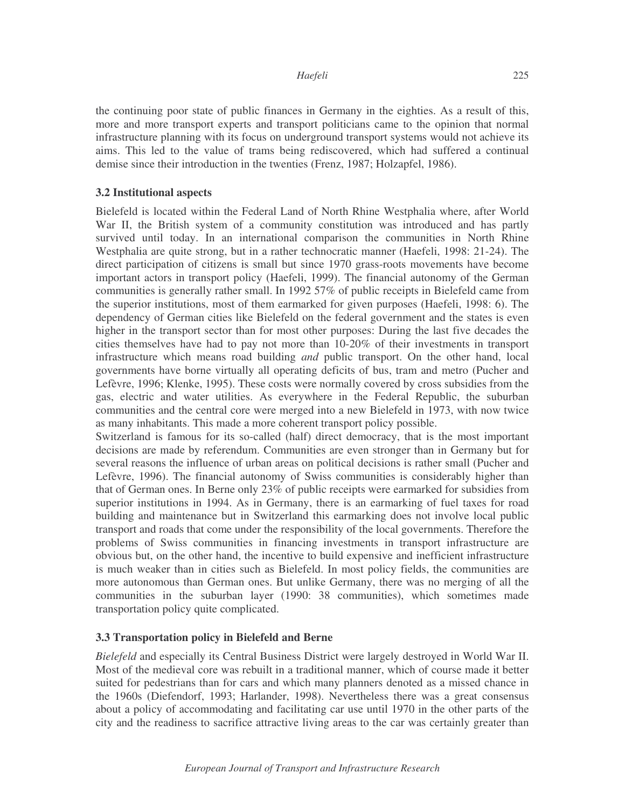#### *Haefeli*

the continuing poor state of public finances in Germany in the eighties. As a result of this, more and more transport experts and transport politicians came to the opinion that normal infrastructure planning with its focus on underground transport systems would not achieve its aims. This led to the value of trams being rediscovered, which had suffered a continual demise since their introduction in the twenties (Frenz, 1987; Holzapfel, 1986).

#### **3.2 Institutional aspects**

Bielefeld is located within the Federal Land of North Rhine Westphalia where, after World War II, the British system of a community constitution was introduced and has partly survived until today. In an international comparison the communities in North Rhine Westphalia are quite strong, but in a rather technocratic manner (Haefeli, 1998: 21-24). The direct participation of citizens is small but since 1970 grass-roots movements have become important actors in transport policy (Haefeli, 1999). The financial autonomy of the German communities is generally rather small. In 1992 57% of public receipts in Bielefeld came from the superior institutions, most of them earmarked for given purposes (Haefeli, 1998: 6). The dependency of German cities like Bielefeld on the federal government and the states is even higher in the transport sector than for most other purposes: During the last five decades the cities themselves have had to pay not more than 10-20% of their investments in transport infrastructure which means road building *and* public transport. On the other hand, local governments have borne virtually all operating deficits of bus, tram and metro (Pucher and Lefèvre, 1996; Klenke, 1995). These costs were normally covered by cross subsidies from the gas, electric and water utilities. As everywhere in the Federal Republic, the suburban communities and the central core were merged into a new Bielefeld in 1973, with now twice as many inhabitants. This made a more coherent transport policy possible.

Switzerland is famous for its so-called (half) direct democracy, that is the most important decisions are made by referendum. Communities are even stronger than in Germany but for several reasons the influence of urban areas on political decisions is rather small (Pucher and Lefèvre, 1996). The financial autonomy of Swiss communities is considerably higher than that of German ones. In Berne only 23% of public receipts were earmarked for subsidies from superior institutions in 1994. As in Germany, there is an earmarking of fuel taxes for road building and maintenance but in Switzerland this earmarking does not involve local public transport and roads that come under the responsibility of the local governments. Therefore the problems of Swiss communities in financing investments in transport infrastructure are obvious but, on the other hand, the incentive to build expensive and inefficient infrastructure is much weaker than in cities such as Bielefeld. In most policy fields, the communities are more autonomous than German ones. But unlike Germany, there was no merging of all the communities in the suburban layer (1990: 38 communities), which sometimes made transportation policy quite complicated.

### **3.3 Transportation policy in Bielefeld and Berne**

*Bielefeld* and especially its Central Business District were largely destroyed in World War II. Most of the medieval core was rebuilt in a traditional manner, which of course made it better suited for pedestrians than for cars and which many planners denoted as a missed chance in the 1960s (Diefendorf, 1993; Harlander, 1998). Nevertheless there was a great consensus about a policy of accommodating and facilitating car use until 1970 in the other parts of the city and the readiness to sacrifice attractive living areas to the car was certainly greater than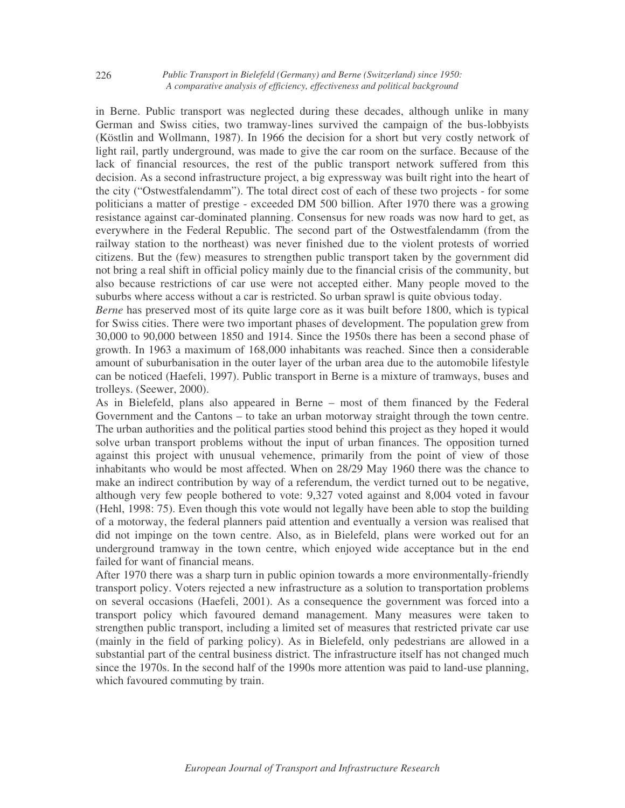in Berne. Public transport was neglected during these decades, although unlike in many German and Swiss cities, two tramway-lines survived the campaign of the bus-lobbyists (Köstlin and Wollmann, 1987). In 1966 the decision for a short but very costly network of light rail, partly underground, was made to give the car room on the surface. Because of the lack of financial resources, the rest of the public transport network suffered from this decision. As a second infrastructure project, a big expressway was built right into the heart of the city ("Ostwestfalendamm"). The total direct cost of each of these two projects - for some politicians a matter of prestige - exceeded DM 500 billion. After 1970 there was a growing resistance against car-dominated planning. Consensus for new roads was now hard to get, as everywhere in the Federal Republic. The second part of the Ostwestfalendamm (from the railway station to the northeast) was never finished due to the violent protests of worried citizens. But the (few) measures to strengthen public transport taken by the government did not bring a real shift in official policy mainly due to the financial crisis of the community, but also because restrictions of car use were not accepted either. Many people moved to the suburbs where access without a car is restricted. So urban sprawl is quite obvious today.

*Berne* has preserved most of its quite large core as it was built before 1800, which is typical for Swiss cities. There were two important phases of development. The population grew from 30,000 to 90,000 between 1850 and 1914. Since the 1950s there has been a second phase of growth. In 1963 a maximum of 168,000 inhabitants was reached. Since then a considerable amount of suburbanisation in the outer layer of the urban area due to the automobile lifestyle can be noticed (Haefeli, 1997). Public transport in Berne is a mixture of tramways, buses and trolleys. (Seewer, 2000).

As in Bielefeld, plans also appeared in Berne – most of them financed by the Federal Government and the Cantons – to take an urban motorway straight through the town centre. The urban authorities and the political parties stood behind this project as they hoped it would solve urban transport problems without the input of urban finances. The opposition turned against this project with unusual vehemence, primarily from the point of view of those inhabitants who would be most affected. When on 28/29 May 1960 there was the chance to make an indirect contribution by way of a referendum, the verdict turned out to be negative, although very few people bothered to vote: 9,327 voted against and 8,004 voted in favour (Hehl, 1998: 75). Even though this vote would not legally have been able to stop the building of a motorway, the federal planners paid attention and eventually a version was realised that did not impinge on the town centre. Also, as in Bielefeld, plans were worked out for an underground tramway in the town centre, which enjoyed wide acceptance but in the end failed for want of financial means.

After 1970 there was a sharp turn in public opinion towards a more environmentally-friendly transport policy. Voters rejected a new infrastructure as a solution to transportation problems on several occasions (Haefeli, 2001). As a consequence the government was forced into a transport policy which favoured demand management. Many measures were taken to strengthen public transport, including a limited set of measures that restricted private car use (mainly in the field of parking policy). As in Bielefeld, only pedestrians are allowed in a substantial part of the central business district. The infrastructure itself has not changed much since the 1970s. In the second half of the 1990s more attention was paid to land-use planning, which favoured commuting by train.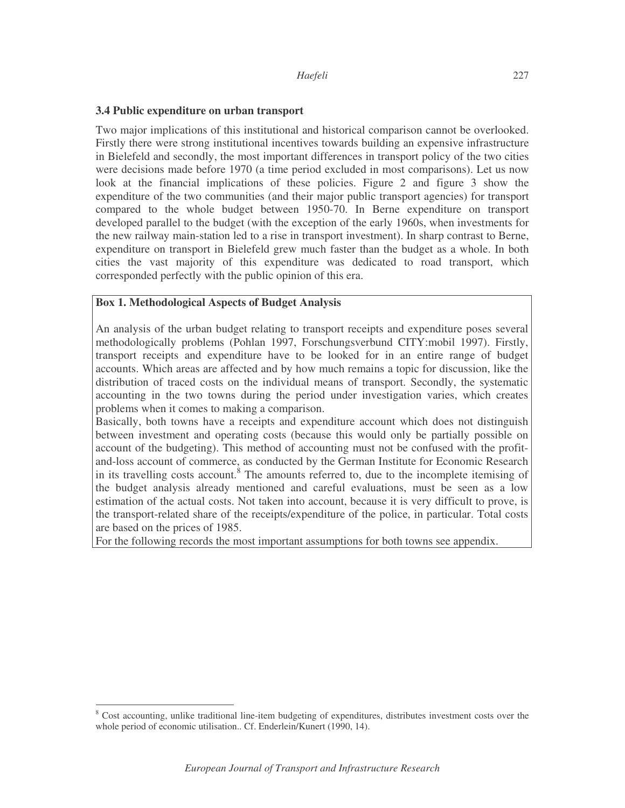#### **3.4 Public expenditure on urban transport**

Two major implications of this institutional and historical comparison cannot be overlooked. Firstly there were strong institutional incentives towards building an expensive infrastructure in Bielefeld and secondly, the most important differences in transport policy of the two cities were decisions made before 1970 (a time period excluded in most comparisons). Let us now look at the financial implications of these policies. Figure 2 and figure 3 show the expenditure of the two communities (and their major public transport agencies) for transport compared to the whole budget between 1950-70. In Berne expenditure on transport developed parallel to the budget (with the exception of the early 1960s, when investments for the new railway main-station led to a rise in transport investment). In sharp contrast to Berne, expenditure on transport in Bielefeld grew much faster than the budget as a whole. In both cities the vast majority of this expenditure was dedicated to road transport, which corresponded perfectly with the public opinion of this era.

### **Box 1. Methodological Aspects of Budget Analysis**

An analysis of the urban budget relating to transport receipts and expenditure poses several methodologically problems (Pohlan 1997, Forschungsverbund CITY:mobil 1997). Firstly, transport receipts and expenditure have to be looked for in an entire range of budget accounts. Which areas are affected and by how much remains a topic for discussion, like the distribution of traced costs on the individual means of transport. Secondly, the systematic accounting in the two towns during the period under investigation varies, which creates problems when it comes to making a comparison.

Basically, both towns have a receipts and expenditure account which does not distinguish between investment and operating costs (because this would only be partially possible on account of the budgeting). This method of accounting must not be confused with the profitand-loss account of commerce, as conducted by the German Institute for Economic Research in its travelling costs account.<sup>8</sup> The amounts referred to, due to the incomplete itemising of the budget analysis already mentioned and careful evaluations, must be seen as a low estimation of the actual costs. Not taken into account, because it is very difficult to prove, is the transport-related share of the receipts/expenditure of the police, in particular. Total costs are based on the prices of 1985.

For the following records the most important assumptions for both towns see appendix.

<sup>&</sup>lt;sup>8</sup> Cost accounting, unlike traditional line-item budgeting of expenditures, distributes investment costs over the whole period of economic utilisation.. Cf. Enderlein/Kunert (1990, 14).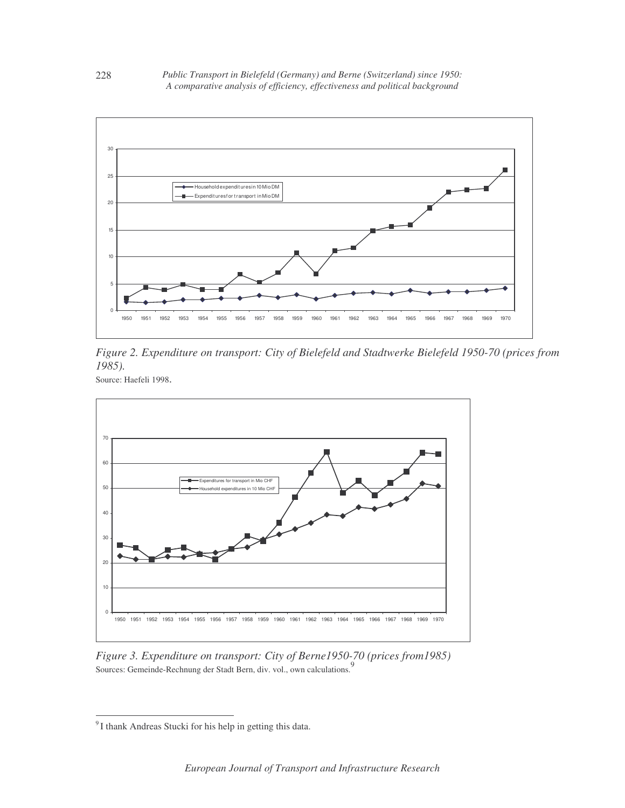

*Figure 2. Expenditure on transport: City of Bielefeld and Stadtwerke Bielefeld 1950-70 (prices from 1985).*

Source: Haefeli 1998.



*Figure 3. Expenditure on transport: City of Berne1950-70 (prices from1985)* Sources: Gemeinde-Rechnung der Stadt Bern, div. vol., own calculations. 9

 $^{9}$  I thank Andreas Stucki for his help in getting this data.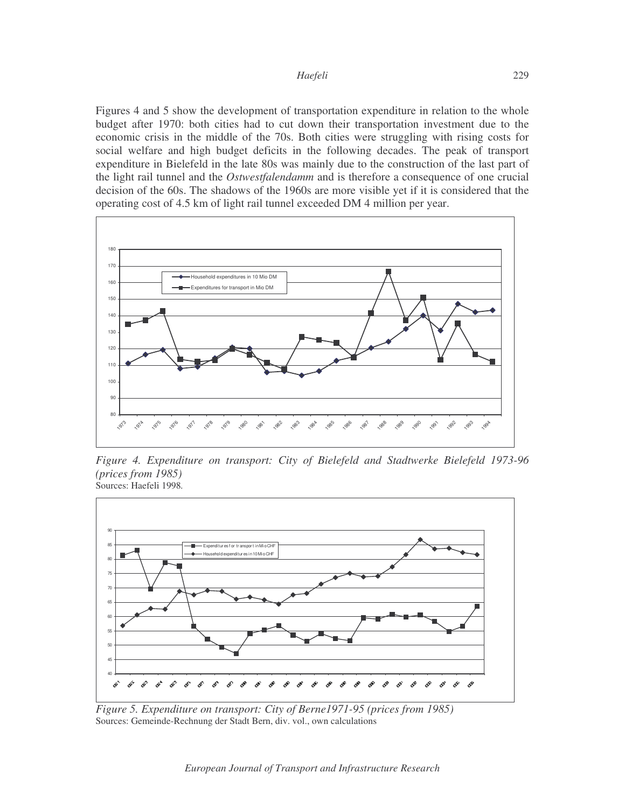Figures 4 and 5 show the development of transportation expenditure in relation to the whole budget after 1970: both cities had to cut down their transportation investment due to the economic crisis in the middle of the 70s. Both cities were struggling with rising costs for social welfare and high budget deficits in the following decades. The peak of transport expenditure in Bielefeld in the late 80s was mainly due to the construction of the last part of the light rail tunnel and the *Ostwestfalendamm* and is therefore a consequence of one crucial decision of the 60s. The shadows of the 1960s are more visible yet if it is considered that the operating cost of 4.5 km of light rail tunnel exceeded DM 4 million per year.



*Figure 4. Expenditure on transport: City of Bielefeld and Stadtwerke Bielefeld 1973-96 (prices from 1985)* Sources: Haefeli 1998*.*



*Figure 5. Expenditure on transport: City of Berne1971-95 (prices from 1985)* Sources: Gemeinde-Rechnung der Stadt Bern, div. vol., own calculations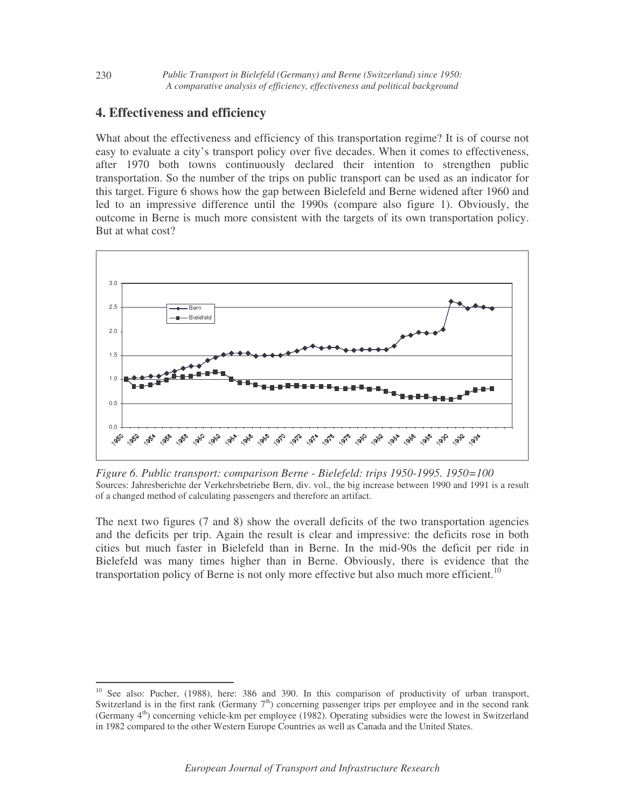## **4. Effectiveness and efficiency**

What about the effectiveness and efficiency of this transportation regime? It is of course not easy to evaluate a city's transport policy over five decades. When it comes to effectiveness, after 1970 both towns continuously declared their intention to strengthen public transportation. So the number of the trips on public transport can be used as an indicator for this target. Figure 6 shows how the gap between Bielefeld and Berne widened after 1960 and led to an impressive difference until the 1990s (compare also figure 1). Obviously, the outcome in Berne is much more consistent with the targets of its own transportation policy. But at what cost?



*Figure 6. Public transport: comparison Berne - Bielefeld: trips 1950-1995. 1950=100* Sources: Jahresberichte der Verkehrsbetriebe Bern, div. vol., the big increase between 1990 and 1991 is a result of a changed method of calculating passengers and therefore an artifact.

The next two figures (7 and 8) show the overall deficits of the two transportation agencies and the deficits per trip. Again the result is clear and impressive: the deficits rose in both cities but much faster in Bielefeld than in Berne. In the mid-90s the deficit per ride in Bielefeld was many times higher than in Berne. Obviously, there is evidence that the transportation policy of Berne is not only more effective but also much more efficient.<sup>10</sup>

<sup>&</sup>lt;sup>10</sup> See also: Pucher, (1988), here: 386 and 390. In this comparison of productivity of urban transport, Switzerland is in the first rank (Germany  $7<sup>th</sup>$ ) concerning passenger trips per employee and in the second rank (Germany 4<sup>th</sup>) concerning vehicle-km per employee (1982). Operating subsidies were the lowest in Switzerland in 1982 compared to the other Western Europe Countries as well as Canada and the United States.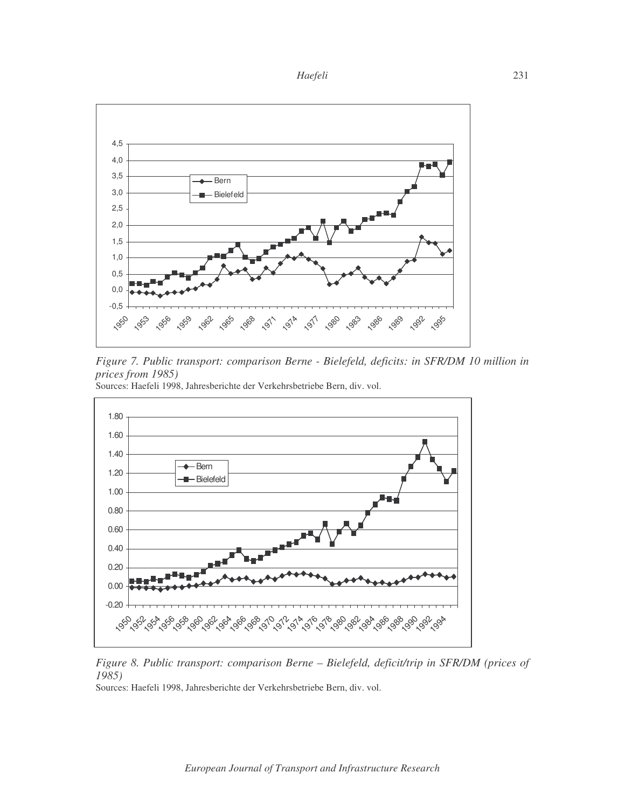



*Figure 7. Public transport: comparison Berne - Bielefeld, deficits: in SFR/DM 10 million in prices from 1985)*





*Figure 8. Public transport: comparison Berne – Bielefeld, deficit/trip in SFR/DM (prices of 1985)*

Sources: Haefeli 1998, Jahresberichte der Verkehrsbetriebe Bern, div. vol.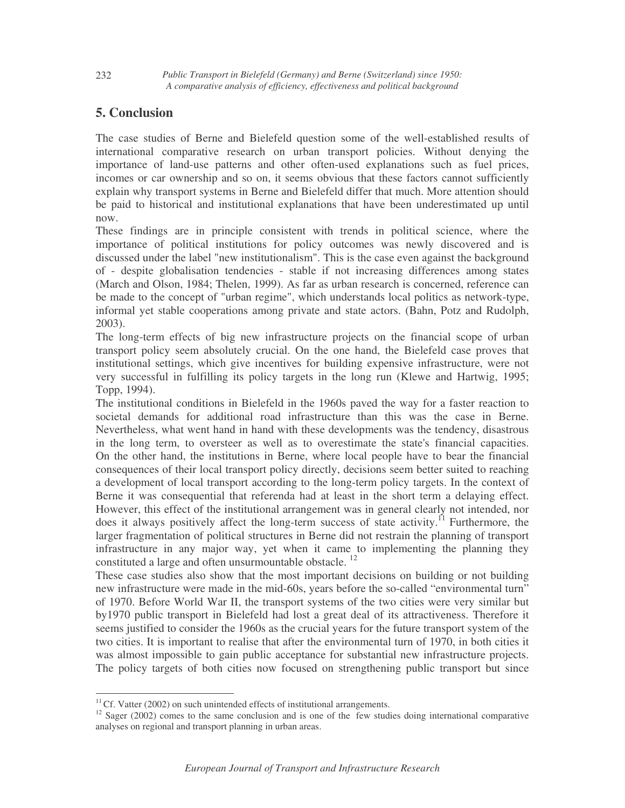# **5. Conclusion**

The case studies of Berne and Bielefeld question some of the well-established results of international comparative research on urban transport policies. Without denying the importance of land-use patterns and other often-used explanations such as fuel prices, incomes or car ownership and so on, it seems obvious that these factors cannot sufficiently explain why transport systems in Berne and Bielefeld differ that much. More attention should be paid to historical and institutional explanations that have been underestimated up until now.

These findings are in principle consistent with trends in political science, where the importance of political institutions for policy outcomes was newly discovered and is discussed under the label "new institutionalism". This is the case even against the background of - despite globalisation tendencies - stable if not increasing differences among states (March and Olson, 1984; Thelen, 1999). As far as urban research is concerned, reference can be made to the concept of "urban regime", which understands local politics as network-type, informal yet stable cooperations among private and state actors. (Bahn, Potz and Rudolph, 2003).

The long-term effects of big new infrastructure projects on the financial scope of urban transport policy seem absolutely crucial. On the one hand, the Bielefeld case proves that institutional settings, which give incentives for building expensive infrastructure, were not very successful in fulfilling its policy targets in the long run (Klewe and Hartwig, 1995; Topp, 1994).

The institutional conditions in Bielefeld in the 1960s paved the way for a faster reaction to societal demands for additional road infrastructure than this was the case in Berne. Nevertheless, what went hand in hand with these developments was the tendency, disastrous in the long term, to oversteer as well as to overestimate the state's financial capacities. On the other hand, the institutions in Berne, where local people have to bear the financial consequences of their local transport policy directly, decisions seem better suited to reaching a development of local transport according to the long-term policy targets. In the context of Berne it was consequential that referenda had at least in the short term a delaying effect. However, this effect of the institutional arrangement was in general clearly not intended, nor does it always positively affect the long-term success of state activity.<sup>11</sup> Furthermore, the larger fragmentation of political structures in Berne did not restrain the planning of transport infrastructure in any major way, yet when it came to implementing the planning they constituted a large and often unsurmountable obstacle.<sup>12</sup>

These case studies also show that the most important decisions on building or not building new infrastructure were made in the mid-60s, years before the so-called "environmental turn" of 1970. Before World War II, the transport systems of the two cities were very similar but by1970 public transport in Bielefeld had lost a great deal of its attractiveness. Therefore it seems justified to consider the 1960s as the crucial years for the future transport system of the two cities. It is important to realise that after the environmental turn of 1970, in both cities it was almost impossible to gain public acceptance for substantial new infrastructure projects. The policy targets of both cities now focused on strengthening public transport but since

<sup>&</sup>lt;sup>11</sup>Cf. Vatter (2002) on such unintended effects of institutional arrangements.<br><sup>12</sup> Sager (2002) comes to the same conclusion and is one of the few studies doing international comparative analyses on regional and transport planning in urban areas.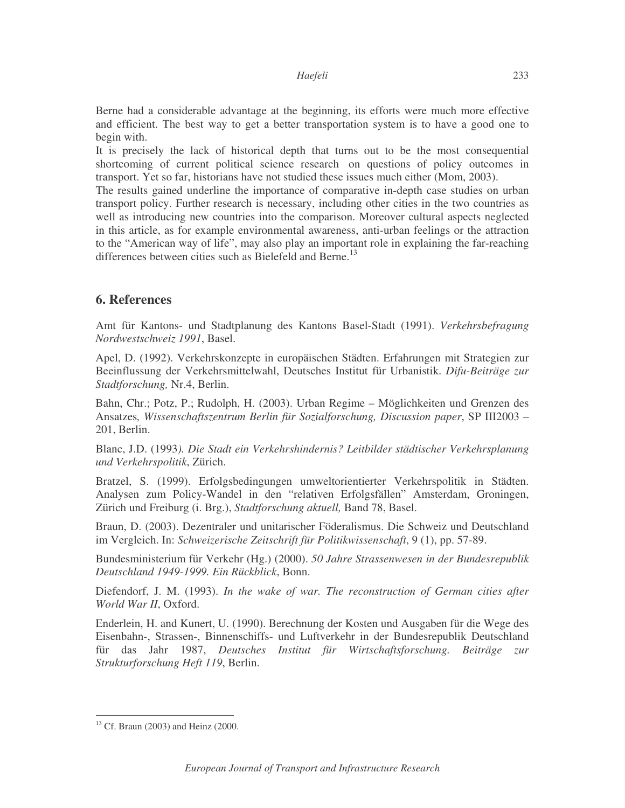Berne had a considerable advantage at the beginning, its efforts were much more effective and efficient. The best way to get a better transportation system is to have a good one to begin with.

It is precisely the lack of historical depth that turns out to be the most consequential shortcoming of current political science research on questions of policy outcomes in transport. Yet so far, historians have not studied these issues much either (Mom, 2003).

The results gained underline the importance of comparative in-depth case studies on urban transport policy. Further research is necessary, including other cities in the two countries as well as introducing new countries into the comparison. Moreover cultural aspects neglected in this article, as for example environmental awareness, anti-urban feelings or the attraction to the "American way of life", may also play an important role in explaining the far-reaching differences between cities such as Bielefeld and Berne.<sup>13</sup>

### **6. References**

Amt für Kantons- und Stadtplanung des Kantons Basel-Stadt (1991). *Verkehrsbefragung Nordwestschweiz 1991*, Basel.

Apel, D. (1992). Verkehrskonzepte in europäischen Städten. Erfahrungen mit Strategien zur Beeinflussung der Verkehrsmittelwahl, Deutsches Institut für Urbanistik. *Difu-Beiträge zur Stadtforschung,* Nr.4, Berlin.

Bahn, Chr.; Potz, P.; Rudolph, H. (2003). Urban Regime – Möglichkeiten und Grenzen des Ansatzes*, Wissenschaftszentrum Berlin für Sozialforschung, Discussion paper*, SP III2003 – 201, Berlin.

Blanc, J.D. (1993*). Die Stadt ein Verkehrshindernis? Leitbilder städtischer Verkehrsplanung und Verkehrspolitik*, Zürich.

Bratzel, S. (1999). Erfolgsbedingungen umweltorientierter Verkehrspolitik in Städten. Analysen zum Policy-Wandel in den "relativen Erfolgsfällen" Amsterdam, Groningen, Zürich und Freiburg (i. Brg.), *Stadtforschung aktuell,* Band 78, Basel.

Braun, D. (2003). Dezentraler und unitarischer Föderalismus. Die Schweiz und Deutschland im Vergleich. In: *Schweizerische Zeitschrift für Politikwissenschaft*, 9 (1), pp. 57-89.

Bundesministerium für Verkehr (Hg.) (2000). *50 Jahre Strassenwesen in der Bundesrepublik Deutschland 1949-1999. Ein Rückblick*, Bonn.

Diefendorf, J. M. (1993). *In the wake of war. The reconstruction of German cities after World War II*, Oxford.

Enderlein, H. and Kunert, U. (1990). Berechnung der Kosten und Ausgaben für die Wege des Eisenbahn-, Strassen-, Binnenschiffs- und Luftverkehr in der Bundesrepublik Deutschland für das Jahr 1987, *Deutsches Institut für Wirtschaftsforschung. Beiträge zur Strukturforschung Heft 119*, Berlin.

<sup>13</sup> Cf. Braun (2003) and Heinz (2000.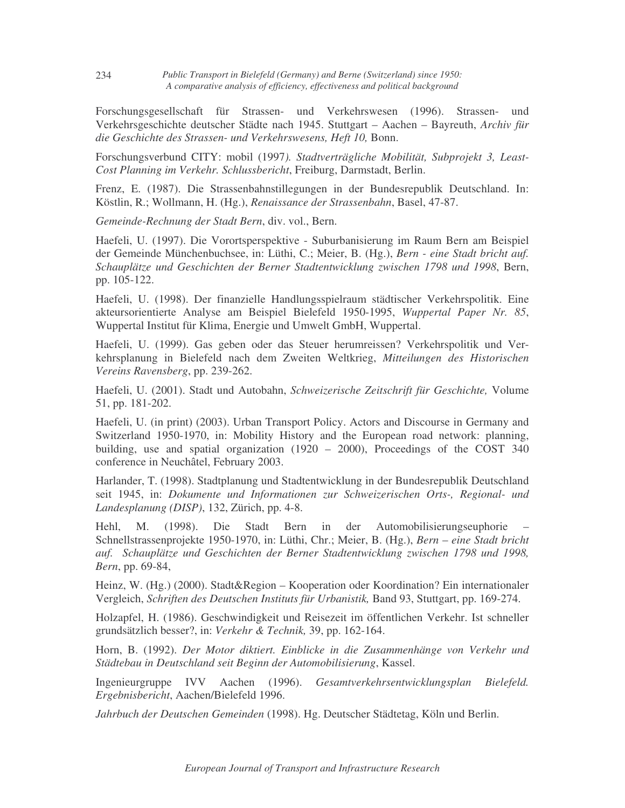Forschungsgesellschaft für Strassen- und Verkehrswesen (1996). Strassen- und Verkehrsgeschichte deutscher Städte nach 1945. Stuttgart – Aachen – Bayreuth, *Archiv für die Geschichte des Strassen- und Verkehrswesens, Heft 10,* Bonn.

Forschungsverbund CITY: mobil (1997*). Stadtverträgliche Mobilität, Subprojekt 3, Least-Cost Planning im Verkehr. Schlussbericht*, Freiburg, Darmstadt, Berlin.

Frenz, E. (1987). Die Strassenbahnstillegungen in der Bundesrepublik Deutschland. In: Köstlin, R.; Wollmann, H. (Hg.), *Renaissance der Strassenbahn*, Basel, 47-87.

*Gemeinde-Rechnung der Stadt Bern*, div. vol., Bern.

Haefeli, U. (1997). Die Vorortsperspektive - Suburbanisierung im Raum Bern am Beispiel der Gemeinde Münchenbuchsee, in: Lüthi, C.; Meier, B. (Hg.), *Bern - eine Stadt bricht auf. Schauplätze und Geschichten der Berner Stadtentwicklung zwischen 1798 und 1998*, Bern, pp. 105-122.

Haefeli, U. (1998). Der finanzielle Handlungsspielraum städtischer Verkehrspolitik. Eine akteursorientierte Analyse am Beispiel Bielefeld 1950-1995, *Wuppertal Paper Nr. 85*, Wuppertal Institut für Klima, Energie und Umwelt GmbH, Wuppertal.

Haefeli, U. (1999). Gas geben oder das Steuer herumreissen? Verkehrspolitik und Verkehrsplanung in Bielefeld nach dem Zweiten Weltkrieg, *Mitteilungen des Historischen Vereins Ravensberg*, pp. 239-262.

Haefeli, U. (2001). Stadt und Autobahn, *Schweizerische Zeitschrift für Geschichte,* Volume 51, pp. 181-202.

Haefeli, U. (in print) (2003). Urban Transport Policy. Actors and Discourse in Germany and Switzerland 1950-1970, in: Mobility History and the European road network: planning, building, use and spatial organization (1920 – 2000), Proceedings of the COST 340 conference in Neuchâtel, February 2003.

Harlander, T. (1998). Stadtplanung und Stadtentwicklung in der Bundesrepublik Deutschland seit 1945, in: *Dokumente und Informationen zur Schweizerischen Orts-, Regional- und Landesplanung (DISP)*, 132, Zürich, pp. 4-8.

Hehl, M. (1998). Die Stadt Bern in der Automobilisierungseuphorie – Schnellstrassenprojekte 1950-1970, in: Lüthi, Chr.; Meier, B. (Hg.), *Bern* – *eine Stadt bricht auf. Schauplätze und Geschichten der Berner Stadtentwicklung zwischen 1798 und 1998, Bern*, pp. 69-84,

Heinz, W. (Hg.) (2000). Stadt&Region – Kooperation oder Koordination? Ein internationaler Vergleich, *Schriften des Deutschen Instituts für Urbanistik,* Band 93, Stuttgart, pp. 169-274.

Holzapfel, H. (1986). Geschwindigkeit und Reisezeit im öffentlichen Verkehr. Ist schneller grundsätzlich besser?, in: *Verkehr & Technik,* 39, pp. 162-164.

Horn, B. (1992). *Der Motor diktiert. Einblicke in die Zusammenhänge von Verkehr und Städtebau in Deutschland seit Beginn der Automobilisierung*, Kassel.

Ingenieurgruppe IVV Aachen (1996). *Gesamtverkehrsentwicklungsplan Bielefeld. Ergebnisbericht*, Aachen/Bielefeld 1996.

*Jahrbuch der Deutschen Gemeinden* (1998). Hg. Deutscher Städtetag, Köln und Berlin.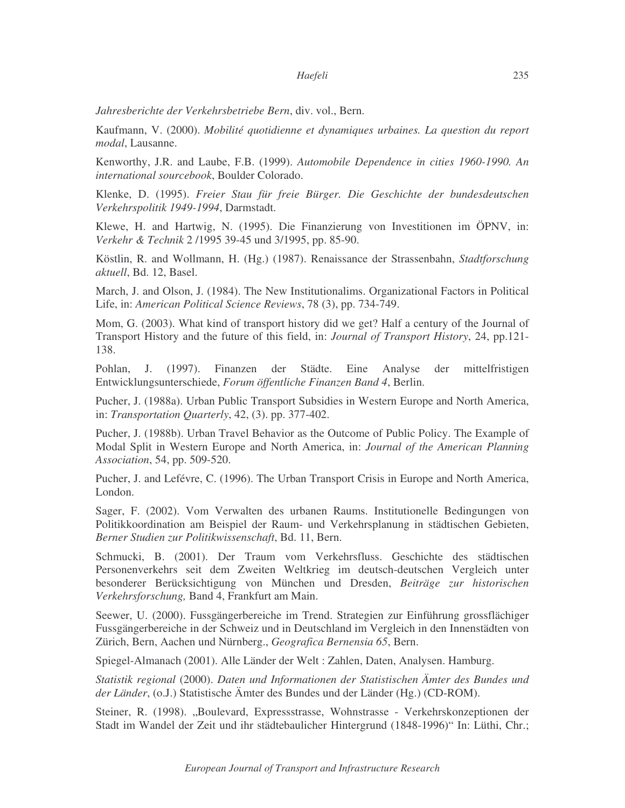*Jahresberichte der Verkehrsbetriebe Bern*, div. vol., Bern.

Kaufmann, V. (2000). *Mobilité quotidienne et dynamiques urbaines. La question du report modal*, Lausanne.

Kenworthy, J.R. and Laube, F.B. (1999). *Automobile Dependence in cities 1960-1990. An international sourcebook*, Boulder Colorado.

Klenke, D. (1995). *Freier Stau für freie Bürger. Die Geschichte der bundesdeutschen Verkehrspolitik 1949-1994*, Darmstadt.

Klewe, H. and Hartwig, N. (1995). Die Finanzierung von Investitionen im ÖPNV, in: *Verkehr & Technik* 2 /1995 39-45 und 3/1995, pp. 85-90.

Köstlin, R. and Wollmann, H. (Hg.) (1987). Renaissance der Strassenbahn, *Stadtforschung aktuell*, Bd. 12, Basel.

March, J. and Olson, J. (1984). The New Institutionalims. Organizational Factors in Political Life, in: *American Political Science Reviews*, 78 (3), pp. 734-749.

Mom, G. (2003). What kind of transport history did we get? Half a century of the Journal of Transport History and the future of this field, in: *Journal of Transport History*, 24, pp.121- 138.

Pohlan, J. (1997). Finanzen der Städte. Eine Analyse der mittelfristigen Entwicklungsunterschiede, *Forum öffentliche Finanzen Band 4*, Berlin.

Pucher, J. (1988a). Urban Public Transport Subsidies in Western Europe and North America, in: *Transportation Quarterly*, 42, (3). pp. 377-402.

Pucher, J. (1988b). Urban Travel Behavior as the Outcome of Public Policy. The Example of Modal Split in Western Europe and North America, in: *Journal of the American Planning Association*, 54, pp. 509-520.

Pucher, J. and Lefévre, C. (1996). The Urban Transport Crisis in Europe and North America, London.

Sager, F. (2002). Vom Verwalten des urbanen Raums. Institutionelle Bedingungen von Politikkoordination am Beispiel der Raum- und Verkehrsplanung in städtischen Gebieten, *Berner Studien zur Politikwissenschaft*, Bd. 11, Bern.

Schmucki, B. (2001). Der Traum vom Verkehrsfluss. Geschichte des städtischen Personenverkehrs seit dem Zweiten Weltkrieg im deutsch-deutschen Vergleich unter besonderer Berücksichtigung von München und Dresden, *Beiträge zur historischen Verkehrsforschung,* Band 4, Frankfurt am Main.

Seewer, U. (2000). Fussgängerbereiche im Trend. Strategien zur Einführung grossflächiger Fussgängerbereiche in der Schweiz und in Deutschland im Vergleich in den Innenstädten von Zürich, Bern, Aachen und Nürnberg., *Geografica Bernensia 65*, Bern.

Spiegel-Almanach (2001). Alle Länder der Welt : Zahlen, Daten, Analysen. Hamburg.

*Statistik regional* (2000). *Daten und Informationen der Statistischen Ämter des Bundes und der Länder*, (o.J.) Statistische Ämter des Bundes und der Länder (Hg.) (CD-ROM).

Steiner, R. (1998). "Boulevard, Expressstrasse, Wohnstrasse - Verkehrskonzeptionen der Stadt im Wandel der Zeit und ihr städtebaulicher Hintergrund (1848-1996)" In: Lüthi, Chr.;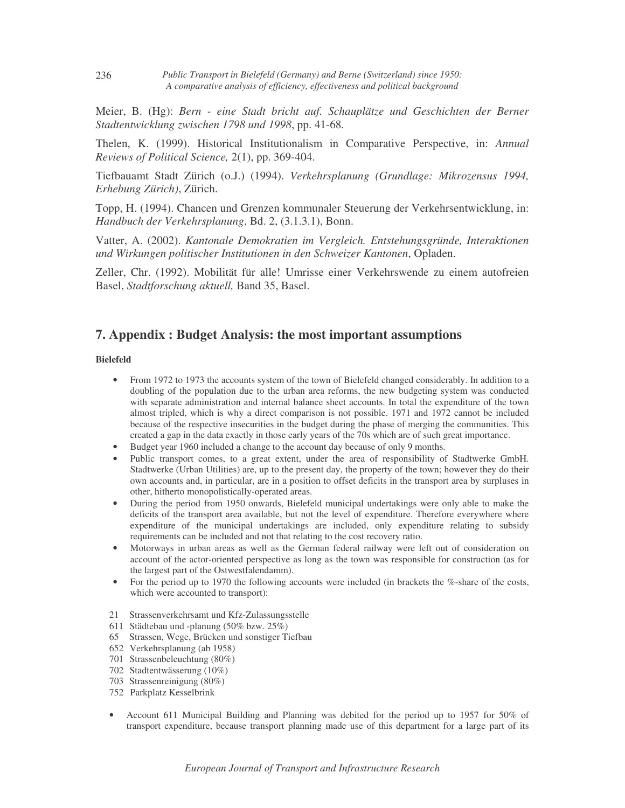*Public Transport in Bielefeld (Germany) and Berne (Switzerland) since 1950: A comparative analysis of efficiency, effectiveness and political background*

Meier, B. (Hg): *Bern - eine Stadt bricht auf. Schauplätze und Geschichten der Berner Stadtentwicklung zwischen 1798 und 1998*, pp. 41-68*.*

Thelen, K. (1999). Historical Institutionalism in Comparative Perspective, in: *Annual Reviews of Political Science,* 2(1), pp. 369-404.

Tiefbauamt Stadt Zürich (o.J.) (1994). *Verkehrsplanung (Grundlage: Mikrozensus 1994, Erhebung Zürich)*, Zürich.

Topp, H. (1994). Chancen und Grenzen kommunaler Steuerung der Verkehrsentwicklung, in: *Handbuch der Verkehrsplanung*, Bd. 2, (3.1.3.1), Bonn.

Vatter, A. (2002). *Kantonale Demokratien im Vergleich. Entstehungsgründe, Interaktionen und Wirkungen politischer Institutionen in den Schweizer Kantonen*, Opladen.

Zeller, Chr. (1992). Mobilität für alle! Umrisse einer Verkehrswende zu einem autofreien Basel, *Stadtforschung aktuell,* Band 35, Basel.

### **7. Appendix : Budget Analysis: the most important assumptions**

#### **Bielefeld**

- From 1972 to 1973 the accounts system of the town of Bielefeld changed considerably. In addition to a doubling of the population due to the urban area reforms, the new budgeting system was conducted with separate administration and internal balance sheet accounts. In total the expenditure of the town almost tripled, which is why a direct comparison is not possible. 1971 and 1972 cannot be included because of the respective insecurities in the budget during the phase of merging the communities. This created a gap in the data exactly in those early years of the 70s which are of such great importance.
- Budget year 1960 included a change to the account day because of only 9 months.
- Public transport comes, to a great extent, under the area of responsibility of Stadtwerke GmbH. Stadtwerke (Urban Utilities) are, up to the present day, the property of the town; however they do their own accounts and, in particular, are in a position to offset deficits in the transport area by surpluses in other, hitherto monopolistically-operated areas.
- During the period from 1950 onwards, Bielefeld municipal undertakings were only able to make the deficits of the transport area available, but not the level of expenditure. Therefore everywhere where expenditure of the municipal undertakings are included, only expenditure relating to subsidy requirements can be included and not that relating to the cost recovery ratio.
- Motorways in urban areas as well as the German federal railway were left out of consideration on account of the actor-oriented perspective as long as the town was responsible for construction (as for the largest part of the Ostwestfalendamm).
- For the period up to 1970 the following accounts were included (in brackets the %-share of the costs, which were accounted to transport):
- 21 Strassenverkehrsamt und Kfz-Zulassungsstelle
- 611 Städtebau und -planung (50% bzw. 25%)
- 65 Strassen, Wege, Brücken und sonstiger Tiefbau
- 652 Verkehrsplanung (ab 1958)
- 701 Strassenbeleuchtung (80%)
- 702 Stadtentwässerung (10%)
- 703 Strassenreinigung (80%)
- 752 Parkplatz Kesselbrink
- Account 611 Municipal Building and Planning was debited for the period up to 1957 for 50% of transport expenditure, because transport planning made use of this department for a large part of its